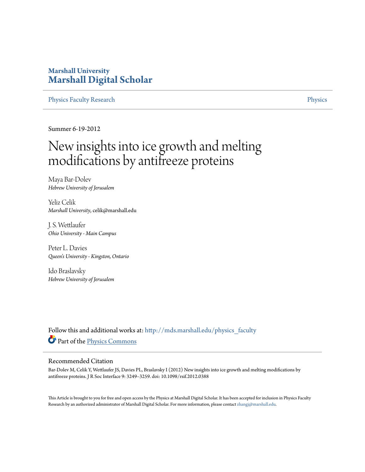## **Marshall University [Marshall Digital Scholar](http://mds.marshall.edu?utm_source=mds.marshall.edu%2Fphysics_faculty%2F42&utm_medium=PDF&utm_campaign=PDFCoverPages)**

[Physics Faculty Research](http://mds.marshall.edu/physics_faculty?utm_source=mds.marshall.edu%2Fphysics_faculty%2F42&utm_medium=PDF&utm_campaign=PDFCoverPages) **[Physics](http://mds.marshall.edu/physics?utm_source=mds.marshall.edu%2Fphysics_faculty%2F42&utm_medium=PDF&utm_campaign=PDFCoverPages)** Physics **Physics** 

Summer 6-19-2012

# New insights into ice growth and melting modifications by antifreeze proteins

Maya Bar-Dolev *Hebrew University of Jerusalem*

Yeliz Celik *Marshall University*, celik@marshall.edu

J. S. Wettlaufer *Ohio University - Main Campus*

Peter L. Davies *Queen's University - Kingston, Ontario*

Ido Braslavsky *Hebrew University of Jerusalem*

Follow this and additional works at: [http://mds.marshall.edu/physics\\_faculty](http://mds.marshall.edu/physics_faculty?utm_source=mds.marshall.edu%2Fphysics_faculty%2F42&utm_medium=PDF&utm_campaign=PDFCoverPages) Part of the [Physics Commons](http://network.bepress.com/hgg/discipline/193?utm_source=mds.marshall.edu%2Fphysics_faculty%2F42&utm_medium=PDF&utm_campaign=PDFCoverPages)

## Recommended Citation

Bar-Dolev M, Celik Y, Wettlaufer JS, Davies PL, Braslavsky I (2012) New insights into ice growth and melting modifications by antifreeze proteins. J R Soc Interface 9: 3249–3259. doi: 10.1098/rsif.2012.0388

This Article is brought to you for free and open access by the Physics at Marshall Digital Scholar. It has been accepted for inclusion in Physics Faculty Research by an authorized administrator of Marshall Digital Scholar. For more information, please contact [zhangj@marshall.edu.](mailto:zhangj@marshall.edu)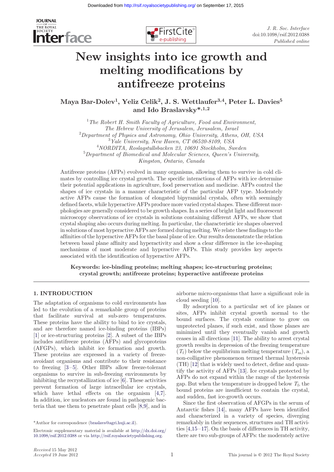



J. R. Soc. Interface doi:10.1098/rsif.2012.0388 Published online

## New insights into ice growth and melting modifications by antifreeze proteins

Maya Bar-Dolev<sup>1</sup>, Yeliz Celik<sup>2</sup>, J. S. Wettlaufer<sup>3,4</sup>, Peter L. Davies<sup>5</sup> and Ido Braslavsky\*,1,2

 $1$ <sup>1</sup>The Robert H. Smith Faculty of Agriculture, Food and Environment, The Hebrew University of Jerusalem, Jerusalem, Israel <sup>2</sup>  ${}^{2}$ Department of Physics and Astronomy, Ohio University, Athens, OH, USA <sup>3</sup>Yale University, New Haven, CT 06520-8109, USA 4 NORDITA, Roslagstullsbacken 23, 10691 Stockholm, Sweden <sup>5</sup>Department of Biomedical and Molecular Sciences, Queen's University, Kingston, Ontario, Canada

Antifreeze proteins (AFPs) evolved in many organisms, allowing them to survive in cold climates by controlling ice crystal growth. The specific interactions of AFPs with ice determine their potential applications in agriculture, food preservation and medicine. AFPs control the shapes of ice crystals in a manner characteristic of the particular AFP type. Moderately active AFPs cause the formation of elongated bipyramidal crystals, often with seemingly defined facets, while hyperactive AFPs produce more varied crystal shapes. These different morphologies are generally considered to be growth shapes. In a series of bright light and fluorescent microscopy observations of ice crystals in solutions containing different AFPs, we show that crystal shaping also occurs during melting. In particular, the characteristic ice shapes observed in solutions of most hyperactive AFPs are formed during melting. We relate these findings to the affinities of the hyperactive AFPs for the basal plane of ice. Our results demonstrate the relation between basal plane affinity and hyperactivity and show a clear difference in the ice-shaping mechanisms of most moderate and hyperactive AFPs. This study provides key aspects associated with the identification of hyperactive AFPs.

Keywords: ice-binding proteins; melting shapes; ice-structuring proteins; crystal growth; antifreeze proteins; hyperactive antifreeze proteins

### 1. INTRODUCTION

The adaptation of organisms to cold environments has led to the evolution of a remarkable group of proteins that facilitate survival at sub-zero temperatures. These proteins have the ability to bind to ice crystals, and are therefore named ice-binding proteins (IBPs) [\[1](#page-9-0)] or ice-structuring proteins [[2\]](#page-9-0). A subset of the IBPs includes antifreeze proteins (AFPs) and glycoproteins (AFGPs), which inhibit ice formation and growth. These proteins are expressed in a variety of freezeavoidant organisms and contribute to their resistance to freezing [\[3](#page-9-0)–[5](#page-9-0)]. Other IBPs allow freeze-tolerant organisms to survive in sub-freezing environments by inhibiting the recrystallization of ice [\[6\]](#page-9-0). These activities prevent formation of large intracellular ice crystals, which have lethal effects on the organism [\[4,7](#page-9-0)]. In addition, ice nucleators are found in pathogenic bacteria that use them to penetrate plant cells [\[8,9](#page-9-0)], and in airborne micro-organisms that have a significant role in cloud seeding [\[10](#page-9-0)].

By adsorption to a particular set of ice planes or sites, AFPs inhibit crystal growth normal to the bound surfaces. The crystals continue to grow on unprotected planes, if such exist, and those planes are minimized until they eventually vanish and growth ceases in all directions [[11](#page-9-0)]. The ability to arrest crystal growth results in depression of the freezing temperature  $(T_f)$  below the equilibrium melting temperature  $(T_m)$ , a non-colligative phenomenon termed thermal hysteresis (TH) [\[12](#page-9-0)] that is widely used to detect, define and quantify the activity of AFPs [\[13](#page-9-0)]. Ice crystals protected by AFPs do not expand within the range of the hysteresis gap. But when the temperature is dropped below  $T_f$ , the bound proteins are insufficient to contain the crystal, and sudden, fast ice-growth occurs.

Since the first observation of AFGPs in the serum of Antarctic fishes [[14\]](#page-9-0), many AFPs have been identified and characterized in a variety of species, diverging remarkably in their sequences, structures and TH activities [\[4,15](#page-9-0)–[17\]](#page-10-0). On the basis of differences in TH activity, there are two sub-groups of AFPs: the moderately active

<sup>\*</sup>Author for correspondence ([braslavs@agri.huji.ac.il](mailto:braslavs@agri.huji.ac.il)).

Electronic supplementary material is available at [http:](http://dx.doi.org/10.1098/rsif.2012.0388)//[dx.doi.org](http://dx.doi.org/10.1098/rsif.2012.0388)/ 10.1098/[rsif.2012.0388](http://dx.doi.org/10.1098/rsif.2012.0388) or via [http:](http://rsif.royalsocietypublishing.org)//[rsif.royalsocietypublishing.org](http://rsif.royalsocietypublishing.org).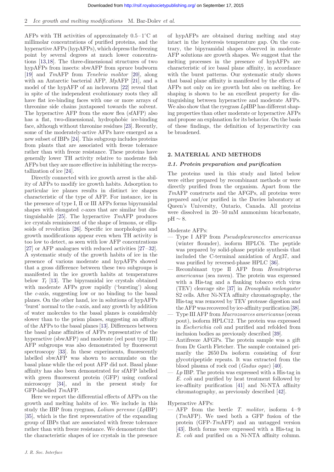AFPs with TH activities of approximately  $0.5-1^{\circ}C$  at millimolar concentrations of purified proteins, and the hyperactive AFPs (hypAFPs), which depress the freezing point by several degrees at much lower concentrations [[13,](#page-9-0)[18](#page-10-0)]. The three-dimensional structures of two hypAFPs from insects: sbwAFP from spruce budworm [\[19](#page-10-0)] and TmAFP from Tenebrio molitor [[20\]](#page-10-0), along with an Antarctic bacterial AFP, MpAFP [\[21\]](#page-10-0), and a model of the hypAFP of an inchworm [[22\]](#page-10-0) reveal that in spite of the independent evolutionary roots they all have flat ice-binding faces with one or more arrays of threonine side chains juxtaposed towards the solvent. The hyperactive AFP from the snow flea (sfAFP) also has a flat, two-dimensional, hydrophobic ice-binding face, although without threonine residues [\[23](#page-10-0)]. Recently, some of the moderately-active AFPs have emerged as a new subset of IBPs [[24\]](#page-10-0). This subgroup includes proteins from plants that are associated with freeze tolerance rather than with freeze resistance. These proteins have generally lower TH activity relative to moderate fish AFPs but they are more effective in inhibiting the recrystallization of ice [[24\]](#page-10-0).

Directly connected with ice growth arrest is the ability of AFPs to modify ice growth habits. Adsorption to particular ice planes results in distinct ice shapes characteristic of the type of AFP. For instance, ice in the presence of type I, II or III AFPs forms bipyramidal shapes with elongated c-axes that are similar but distinguishable [\[25](#page-10-0)]. The hyperactive TmAFP produces ice crystals reminiscent of the shape of lemons, or ellipsoids of revolution [[26\]](#page-10-0). Specific ice morphologies and growth modifications appear even when TH activity is too low to detect, as seen with low AFP concentrations [\[27](#page-10-0)] or AFP analogues with reduced activities [\[27](#page-10-0)–[32](#page-10-0)]. A systematic study of the growth habits of ice in the presence of various moderate and hypAFPs showed that a gross difference between these two subgroups is manifested in the ice growth habits at temperatures below  $T_f$  [\[13](#page-9-0)]. The bipyramidal ice crystals obtained with moderate AFPs grow rapidly ('bursting') along the c-axis, suggesting low or no binding to the basal planes. On the other hand, ice in solutions of hypAFPs 'burst' normal to the c-axis, and any growth by addition of water molecules to the basal planes is considerably slower than to the prism planes, suggesting an affinity of the AFPs to the basal planes [[13\]](#page-9-0). Differences between the basal plane affinities of AFPs representative of the hyperactive (sbwAFP) and moderate (eel pout type III) AFP subgroups was also demonstrated by fluorescent spectroscopy [[33\]](#page-10-0). In these experiments, fluorescently labelled sbwAFP was shown to accumulate on the basal plane while the eel pout AFP did not. Basal plane affinity has also been demonstrated for sfAFP labelled with green fluorescent protein (GFP) using confocal microscopy [[34](#page-10-0)], and in the present study for GFP-labelled TmAFP.

Here we report the differential effects of AFPs on the growth and melting habits of ice. We include in this study the IBP from ryegrass, Lolium perenne (LpIBP) [\[35](#page-10-0)], which is the first representative of the expanding group of IBPs that are associated with freeze tolerance rather than with freeze resistance. We demonstrate that the characteristic shapes of ice crystals in the presence

of hypAFPs are obtained during melting and stay intact in the hysteresis temperature gap. On the contrary, the bipyramidal shapes observed in moderate AFP solutions are growth shapes. We suggest that the melting processes in the presence of hypAFPs are characteristic of ice basal plane affinity, in accordance with the burst patterns. Our systematic study shows that basal plane affinity is manifested by the effects of AFPs not only on ice growth but also on melting. Ice shaping is shown to be an excellent property for distinguishing between hyperactive and moderate AFPs. We also show that the ryegrass  $LpIBP$  has different shaping properties than other moderate or hyperactive AFPs and propose an explanation for its behavior. On the basis of these findings, the definition of hyperactivity can be broadened.

#### 2. MATERIAL AND METHODS

#### 2.1. Protein preparation and purification

The proteins used in this study and listed below were either prepared by recombinant methods or were directly purified from the organism. Apart from the TmAFP constructs and the AFGPs, all proteins were prepared and/or purified in the Davies laboratory at Queen's University, Ontario, Canada. All proteins were dissolved in 20–50 mM ammonium bicarbonate.  $\text{pH} \sim 8.$ 

Moderate AFPs:

- Type I AFP from Pseudopleuronectes americanus (winter flounder), isoform HPLC6. The peptide was prepared by solid-phase peptide synthesis that included the C-terminal amidation of Arg37, and was purified by reversed-phase HPLC [\[36](#page-10-0)].
- Recombinant type II AFP from Hemitripterus americanus (sea raven). The protein was expressed with a His-tag and a flanking tobacco etch virus (TEV) cleavage site [\[37\]](#page-10-0) in Drosophila melongaster S2 cells. After Ni-NTA affinity chromatography, the His-tag was removed by TEV protease digestion and the AFP was recovered by ice-affinity purification [[38](#page-10-0)].
- Type III AFP from Macrozoarces americanus (ocean pout), isoform HPLC12. The protein was expressed in Escherichia coli and purified and refolded from inclusion bodies as previously described [\[39](#page-10-0)].
- Antifreeze AFGPs. The protein sample was a gift from Dr Garth Fletcher. The sample contained primarily the 2650 Da isoform consisting of four glycotripeptide repeats. It was extracted from the blood plasma of rock cod (Gadus ogac) [\[40](#page-10-0)].
- $Lp$  IBP. The protein was expressed with a His-tag in E. coli and purified by heat treatment followed by ice-affinity purification [\[41](#page-10-0)] and Ni-NTA affinity chromatography, as previously described [\[42](#page-10-0)].

Hyperactive AFPs:

 $-$  AFP from the beetle *T. molitor*, isoform  $4-9$ (TmAFP). We used both a GFP fusion of the protein (GFP-TmAFP) and an untagged version [\[43](#page-10-0)]. Both forms were expressed with a His-tag in E. coli and purified on a Ni-NTA affinity column.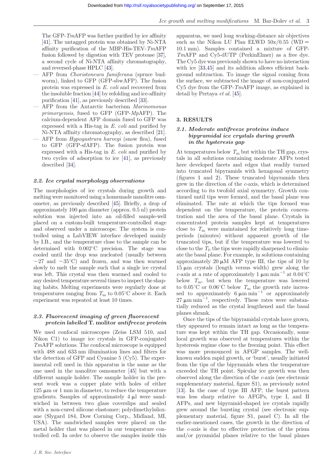The GFP-TmAFP was further purified by ice affinity [\[41\]](#page-10-0). The untagged protein was obtained by Ni-NTA affinity purification of the MBP-His-TEV-TmAFP fusion followed by digestion with TEV protease [\[37](#page-10-0)], a second cycle of Ni-NTA affinity chromatography, and reversed-phase HPLC [\[43](#page-10-0)].

- AFP from Choristoneura fumiferana (spruce budworm), linked to GFP (GFP-sbwAFP). The fusion protein was expressed in E. coli and recovered from the insoluble fraction [\[44\]](#page-10-0) by refolding and ice-affinity purification [\[41\]](#page-10-0), as previously described [[33\]](#page-10-0).
- AFP from the Antarctic bacterium Marinomonas primoryensis, fused to GFP (GFP-MpAFP). The calcium-dependent AFP domain fused to GFP was expressed with a His-tag in E. coli and purified by Ni-NTA affinity chromatography, as described [\[21](#page-10-0)].
- AFP from *Hypogastrura harveyi* (snow flea), fused to GFP (GFP-sfAFP). The fusion protein was expressed with a His-tag in E. coli and purified by two cycles of adsorption to ice [\[41](#page-10-0)], as previously described [[34\]](#page-10-0).

## 2.2. Ice crystal morphology observations

The morphologies of ice crystals during growth and melting were monitored using a homemade nanolitre osmometer, as previously described [[45\]](#page-10-0). Briefly, a drop of approximately  $100 \mu m$  diameter (approx.  $0.5 \text{ nl}$ ) protein solution was injected into an oil-filled sample-well placed on a custom-built temperature-controlled stage and observed under a microscope. The system is controlled using a LabVIEW interface developed mainly by I.B., and the temperature close to the sample can be determined with  $0.002^{\circ}$ C precision. The stage was cooled until the drop was nucleated (usually between  $-27$  and  $-35^{\circ}$ C) and frozen, and was then warmed slowly to melt the sample such that a single ice crystal was left. This crystal was then warmed and cooled to any desired temperature several times to inspect the shaping habits. Melting experiments were regularly done at temperatures ranging from  $T_{\rm m}$  to 0.05°C above it. Each experiment was repeated at least 10 times.

#### 2.3. Fluorescent imaging of green fluorescent protein labelled T. molitor antifreeze protein

We used confocal microscopes (Zeiss LSM 510, and Nikon C1) to image ice crystals in GFP-conjugated TmAFP solutions. The confocal microscope is equipped with 488 and 633 nm illumination lines and filters for the detection of GFP and Cyanine 5 (Cy5). The experimental cell used in this apparatus is the same as the one used in the nanolitre osmometer [[45\]](#page-10-0) but with a different sample holder. The sample holder in the present work was a copper plate with holes of either  $125 \mu m$  or 1 mm in diameter, to reduce the temperature gradients. Samples of approximately  $4 \mu l$  were sandwiched in between two glass coverslips and sealed with a non-cured silicone elastomer; polydimethylsiloxane (Slygard 184, Dow Corning Corp., Midland, MI, USA). The sandwiched samples were placed on the metal holder that was placed in our temperature controlled cell. In order to observe the samples inside this apparatus, we used long working-distance air objectives such as the Nikon LU Plan ELWD  $50x/0.55$  (WD = 10.1 mm). Samples contained a mixture of GFP-TmAFP and Cy5-dUTP (PerkinElmer) as a free dye. The Cy5 dye was previously shown to have no interaction with ice [\[33](#page-10-0),[45\]](#page-10-0) and its addition allows efficient background subtraction. To image the signal coming from the surface, we subtracted the image of non-conjugated  $Cy5$  dye from the GFP- $Tm$ AFP image, as explained in detail by Pertaya et al. [[45\]](#page-10-0).

## 3. RESULTS

### 3.1. Moderate antifreeze proteins induce bipyramidal ice crystals during growth in the hysteresis gap

At temperatures below  $T_{\rm m}$  but within the TH gap, crystals in all solutions containing moderate AFPs tested here developed facets and edges that readily turned into truncated bipyramids with hexagonal symmetry (figures [1](#page-4-0) and [2](#page-4-0)). These truncated bipyramids then grew in the direction of the c-axis, which is determined according to its twofold axial symmetry. Growth continued until tips were formed, and the basal plane was eliminated. The rate at which the tips formed was dependent on the temperature, the protein concentration and the area of the basal plane. Crystals in concentrated protein samples kept at temperatures close to  $T_{\rm m}$  were maintained for relatively long timeperiods (minutes) without apparent growth of the truncated tips, but if the temperature was lowered to close to the  $T_f$ , the tips were rapidly sharpened to eliminate the basal plane. For example, in solutions containing approximately 20  $\mu$ M AFP type III, the tips of 10 by  $15 \mu m$  crystals (length versus width) grew along the c-axis at a rate of approximately 1  $\mu$ m min<sup>-1</sup> at 0.04°C below  $T_{\rm m}$ , but when the temperature was lowered to  $0.05^{\circ}$ C or  $0.06^{\circ}$ C below  $T_{\text{m}}$  the growth rate increased to approximately  $6 \mu m \text{ min}^{-1}$  or approximately  $27 \mu m \text{ min}^{-1}$ , respectively. These rates were substantially reduced as the crystal lengthened and the basal planes shrank.

Once the tips of the bipyramidal crystals have grown, they appeared to remain intact as long as the temperature was kept within the TH gap. Occasionally, some local growth was observed at temperatures within the hysteresis regime close to the freezing point. This effect was more pronounced in AFGP samples. The wellknown sudden rapid growth, or 'burst', usually initiated from the tips of the bipyramids when the temperature exceeded the TH point. Spicular ice growth was then observed along the direction of the c-axis (see electronic supplementary material, figure S1), as previously noted [\[13](#page-9-0)]. In the case of type III AFP, the burst pattern was less sharp relative to AFGPs, type I, and II AFPs, and new bipyramid-shaped ice crystals rapidly grew around the bursting crystal (see electronic supplementary material, figure S1, panel C). In all the earlier-mentioned cases, the growth in the direction of the c-axis is due to effective protection of the prism and/or pyramidal planes relative to the basal planes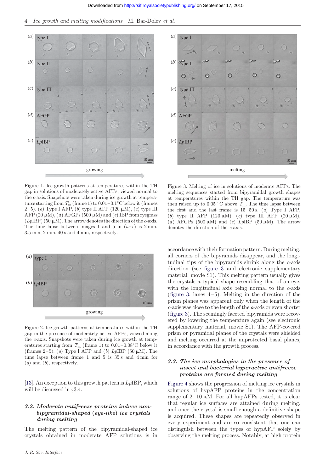<span id="page-4-0"></span>4 Ice growth and melting modifications M. Bar-Dolev et al.





Figure 1. Ice growth patterns at temperatures within the TH gap in solutions of moderately active AFPs, viewed normal to the c-axis. Snapshots were taken during ice growth at temperatures starting from  $T_m$  (frame 1) to  $0.01-0.1^{\circ}$ C below it (frames 2–5). (a) Type I AFP, (b) type II AFP (120  $\mu$ M), (c) type III AFP  $(20 \mu M)$ ,  $(d)$  AFGPs  $(500 \mu M)$  and  $(e)$  IBP from ryegrass  $(LpIBP)$  (50  $\mu$ M). The arrow denotes the direction of the *c*-axis. The time lapse between images 1 and 5 in  $(a-e)$  is 2 min, 3.5 min, 2 min, 40 s and 4 min, respectively.



Figure 2. Ice growth patterns at temperatures within the TH gap in the presence of moderately active AFPs, viewed along the c-axis. Snapshots were taken during ice growth at temperatures starting from  $T_{\text{m}}$  (frame 1) to 0.01–0.08°C below it (frames 2–5). (a) Type I AFP and (b)  $LpIBP$  (50  $\mu$ M). The time lapse between frame 1 and 5 is 35 s and 4 min for  $(a)$  and  $(b)$ , respectively.

[\[13](#page-9-0)]. An exception to this growth pattern is  $LpIBP$ , which will be discussed in §3.4.

#### 3.2. Moderate antifreeze proteins induce nonbipyramidal-shaped (eye-like) ice crystals during melting

The melting pattern of the bipyramidal-shaped ice crystals obtained in moderate AFP solutions is in

Figure 3. Melting of ice in solutions of moderate AFPs. The melting sequences started from bipyramidal growth shapes at temperatures within the TH gap. The temperature was then raised up to 0.05 °C above  $T_{\text{m}}$ . The time lapse between the first and the last frame is  $15-50$  s. (a) Type I AFP, (b) type II AFP (120  $\mu$ M), (c) type III AFP (20  $\mu$ M), (d) AFGPs (500  $\mu$ M) and (e) LpIBP (50  $\mu$ M). The arrow denotes the direction of the c-axis.

accordance with their formation pattern. During melting, all corners of the bipyramids disappear, and the longitudinal tips of the bipyramids shrink along the c-axis direction (see figure 3 and electronic supplementary material, movie S1). This melting pattern usually gives the crystals a typical shape resembling that of an eye, with the longitudinal axis being normal to the  $c$ -axis (figure 3, lanes  $4-5$ ). Melting in the direction of the prism planes was apparent only when the length of the c-axis was close to the length of the a-axis or even shorter (figure 3). The seemingly faceted bipyramids were recovered by lowering the temperature again (see electronic supplementary material, movie S1). The AFP-covered prism or pyramidal planes of the crystals were shielded and melting occurred at the unprotected basal planes, in accordance with the growth process.

### 3.3. The ice morphologies in the presence of insect and bacterial hyperactive antifreeze proteins are formed during melting

[Figure 4](#page-5-0) shows the progression of melting ice crystals in solutions of hypAFP proteins in the concentration range of  $2-10 \mu M$ . For all hypAFPs tested, it is clear that regular ice surfaces are attained during melting, and once the crystal is small enough a definitive shape is acquired. These shapes are repeatedly observed in every experiment and are so consistent that one can distinguish between the types of hypAFP solely by observing the melting process. Notably, at high protein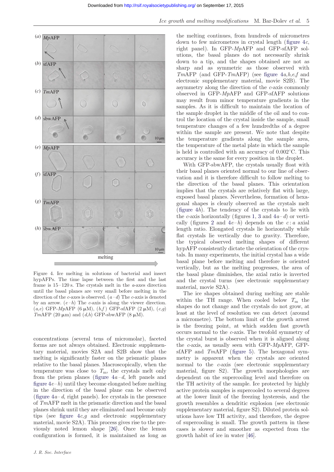<span id="page-5-0"></span>

Figure 4. Ice melting in solutions of bacterial and insect hypAFPs. The time lapse between the first and the last frame is  $15-120$  s. The crystals melt in the *a*-axes direction until the basal planes are very small before melting in the direction of the c-axes is observed.  $(a-d)$  The c-axis is denoted by an arrow.  $(e-h)$  The c-axis is along the viewer direction.  $(a,e)$  GFP-MpAFP  $(6 \mu M)$ ,  $(b,f)$  GFP-sfAFP  $(2 \mu M)$ ,  $(c,g)$ TmAFP (20  $\mu$ m) and (d,h) GFP-sbwAFP (8  $\mu$ M).

concentrations (several tens of micromolar), faceted forms are not always obtained. Electronic supplementary material, movies S2A and S2B show that the melting is significantly faster on the prismatic planes relative to the basal planes. Macroscopically, when the temperature was close to  $T<sub>m</sub>$ , the crystals melt only from the prism planes (figure  $4a-d$ , left panels and figure  $4e-h$ ) until they become elongated before melting in the direction of the basal plane can be observed (figure  $4a-d$ , right panels). Ice crystals in the presence of TmAFP melt in the prismatic direction and the basal planes shrink until they are eliminated and become only tips (see figure  $4c, q$  and electronic supplementary material, movie S2A). This process gives rise to the previously noted lemon shape [[26\]](#page-10-0). Once the lemon configuration is formed, it is maintained as long as the melting continues, from hundreds of micrometres down to few micrometres in crystal length (figure 4c, right panel). In GFP-MpAFP and GFP-sfAFP solutions, the basal planes do not necessarily shrink down to a tip, and the shapes obtained are not as sharp and as symmetric as those observed with  $Tm$ AFP (and GFP- $Tm$ AFP) (see figure  $4a, b, e, f$  and electronic supplementary material, movie S2B). The asymmetry along the direction of the c-axis commonly observed in GFP-MpAFP and GFP-sfAFP solutions may result from minor temperature gradients in the samples. As it is difficult to maintain the location of the sample droplet in the middle of the oil and to control the location of the crystal inside the sample, small temperature changes of a few hundredths of a degree within the sample are present. We note that despite the temperature gradients along the sample area, the temperature of the metal plate in which the sample is held is controlled with an accuracy of  $0.002^{\circ}$ C. This accuracy is the same for every position in the droplet.

With GFP-sbwAFP, the crystals usually float with their basal planes oriented normal to our line of observation and it is therefore difficult to follow melting to the direction of the basal planes. This orientation implies that the crystals are relatively flat with large, exposed basal planes. Nevertheless, formation of hexagonal shapes is clearly observed as the crystals melt (figure 4h). The tendency of the crystals to lie with the c-axis horizontally (figures [1](#page-4-0), [3](#page-4-0) and  $4a-d$ ) or verti-cally (figures [2](#page-4-0) and  $4e-h$ ) depends on the c: a axial length ratio. Elongated crystals lie horizontally while flat crystals lie vertically due to gravity. Therefore, the typical observed melting shapes of different hypAFP consistently dictate the orientation of the crystals. In many experiments, the initial crystal has a wide basal plane before melting and therefore is oriented vertically, but as the melting progresses, the area of the basal plane diminishes, the axial ratio is inverted and the crystal turns (see electronic supplementary material, movie S2A).

The ice shapes obtained during melting are stable within the TH range. When cooled below  $T_{\rm m}$  the shapes do not change and the crystals do not grow, at least at the level of resolution we can detect (around a micrometre). The bottom limit of the growth arrest is the freezing point, at which sudden fast growth occurs normal to the c-axis. The twofold symmetry of the crystal burst is observed when it is aligned along the c-axis, as usually seen with GFP-MpAFP, GFPsfAFP and TmAFP ([figure 5\)](#page-6-0). The hexagonal symmetry is apparent when the crystals are oriented normal to the c-axis (see electronic supplementary material, figure S2). The growth morphologies are dependent on the supercooling level and therefore on the TH activity of the sample. Ice protected by highly active protein samples is supercooled to several degrees at the lower limit of the freezing hysteresis, and the growth resembles a dendritic explosion (see electronic supplementary material, figure S2). Diluted protein solutions have low TH activity, and therefore, the degree of supercooling is small. The growth pattern in these cases is slower and smoother as expected from the growth habit of ice in water [[46\]](#page-10-0).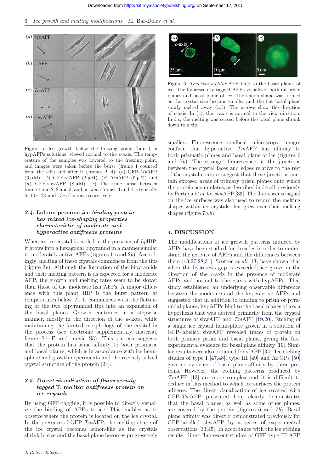<span id="page-6-0"></span>6 Ice growth and melting modifications M. Bar-Dolev et al.



Figure 5. Ice growth below the freezing point (burst) in hypAFPs solutions, viewed normal to the c-axis. The temperature of the samples was lowered to the freezing point, and images were taken before the burst (frame 1 counted from the left) and after it (frames  $2-4$ ). (a) GFP-MpAFP  $(6 \mu M)$ , (b) GFP-sfAFP  $(2 \mu M)$ , (c) TmAFP  $(5 \mu M)$  and (d) GFP-sbwAFP (8  $\mu$ M). (e) The time lapse between frame 1 and 2, 2 and 3, and between frames 3 and 4 is typically 8, 10– 120 and 13–57 msec, respectively.

#### 3.4. Lolium perenne ice-binding protein has mixed ice-shaping properties characteristic of moderate and hyperactive antifreeze proteins

When an ice crystal is cooled in the presence of  $LpIBP$ , it grows into a hexagonal bipyramid in a manner similar to moderately active AFPs (figures [1](#page-4-0)e and [2](#page-4-0)b). Accordingly, melting of these crystals commences from the tips (figure  $3e$ ). Although the formation of the bipyramids and their melting pattern is as expected for a moderate AFP, the growth and melting rates seem to be slower than those of the moderate fish AFPs. A major difference with this plant IBP is the burst pattern at temperatures below  $T_f$ . It commences with the flattening of the two bipyramidal tips into an expansion of the basal planes. Growth continues in a stepwise manner, mostly in the direction of the a-axes, while maintaining the faceted morphology of the crystal in the process (see electronic supplementary material, figure S1–E and movie S3). This pattern suggests that the protein has some affinity to both prismatic and basal planes, which is in accordance with ice hemisphere and growth experiments and the recently solved crystal structure of the protein [[24\]](#page-10-0).

#### 3.5. Direct visualization of fluorescently tagged T. molitor antifreeze protein on ice crystals

By using GFP-tagging, it is possible to directly visualize the binding of AFPs to ice. This enables us to observe where the protein is located on the ice crystal. In the presence of GFP-TmAFP, the melting shape of the ice crystal becomes lemon-like as the crystals shrink in size and the basal plane becomes progressively



Figure 6. Tenebrio molitor AFP bind to the basal planes of ice. The fluorescently tagged AFPs visualized both on prism planes and basal plane of ice. The lemon shape was formed as the crystal size became smaller and the flat basal plane slowly melted away  $(a,b)$ . The arrows show the direction of c-axis. In  $(c)$ , the c-axis is normal to the view direction. In  $b,c$ , the melting was ceased before the basal plane shrank down to a tip.

smaller. Fluorescence confocal microscopy images confirm that hyperactive TmAFP has affinity to both prismatic planes and basal plane of ice (figures 6 and [7](#page-7-0)b). The stronger fluorescence at the junctions between the crystal faces and edges relative to the rest of the crystal contour suggest that these junctions contain exposed areas of primary prism planes onto which the protein accumulates, as described in detail previously by Pertaya et al. for sbwAFP [[33](#page-10-0)]. The fluorescence signal on the ice surfaces was also used to record the melting shapes within ice crystals that grew over their melting shapes (figure  $7a,b$ ).

#### 4. DISCUSSION

The modifications of ice growth patterns induced by AFPs have been studied for decades in order to understand the activity of AFPs and the differences between them  $[13,27,28,31]$  $[13,27,28,31]$  $[13,27,28,31]$  $[13,27,28,31]$ . Scotter *et al.*  $[13]$  have shown that when the hysteresis gap is exceeded, ice grows in the direction of the c-axis in the presence of moderate AFPs and normal to the c-axis with hypAFPs. That study established an underlying observable difference between the moderate and the hyperactive AFPs and suggested that in addition to binding to prism or pyramidal planes, hypAFPs bind to the basal planes of ice, a hypothesis that was derived primarily from the crystal structures of sbwAFP and TmAFP [[19,20](#page-10-0)]. Etching of a single ice crystal hemisphere grown in a solution of GFP-labelled sbwAFP revealed traces of protein on both primary prism and basal plains, giving the first experimental evidence for basal plane affinity [[19\]](#page-10-0). Similar results were also obtained for sfAFP [[34\]](#page-10-0). Ice etching studies of type I [\[47](#page-10-0)[,48](#page-11-0)], type III [\[49](#page-11-0)] and AFGPs [\[50](#page-11-0)] gave no evidence of basal plane affinity by these proteins. However, the etching patterns produced by TmAFP [\[13](#page-9-0)] are more complex and it is difficult to deduce in this method to which ice surfaces the protein adheres. The direct visualization of ice covered with GFP-TmAFP presented here clearly demonstrates that the basal planes, as well as some other planes, are covered by the protein (figures 6 and [7](#page-7-0)b). Basal plane affinity was directly demonstrated previously for GFP-labelled sbwAFP by a series of experimental observations [[33,45\]](#page-10-0). In accordance with the ice etching results, direct fluorescent studies of GFP-type III AFP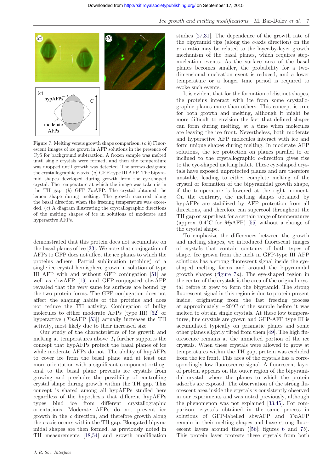<span id="page-7-0"></span>

Figure 7. Melting versus growth shape comparison.  $(a, b)$  Fluorescent images of ice grown in AFP solutions in the presence of Cy5 for background subtraction. A frozen sample was melted until single crystals were formed, and then the temperature was dropped until growth was detected. The arrows designate the crystallographic c-axis. (a) GFP-type III AFP. The bipyramid shapes developed during growth from the eye-shaped crystal. The temperature at which the image was taken is in the TH gap.  $(b)$  GFP-TmAFP. The crystal obtained the lemon shape during melting. The growth occurred along the basal direction when the freezing temperature was exceeded. (c) A diagram illustrating the crystallographic directions of the melting shapes of ice in solutions of moderate and hyperactive AFPs.

demonstrated that this protein does not accumulate on the basal planes of ice [\[33](#page-10-0)]. We note that conjugation of AFPs to GFP does not affect the ice planes to which the proteins adhere. Partial sublimation (etching) of a single ice crystal hemisphere grown in solution of type III AFP with and without GFP conjugation [[51\]](#page-11-0) as well as sbwAFP [\[19](#page-10-0)] and GFP-conjugated sbwAFP revealed that the very same ice surfaces are bound by the two protein forms. The GFP conjugation does not affect the shaping habits of the proteins and does not reduce the TH activity. Conjugation of bulky molecules to either moderate AFPs (type III) [\[52](#page-11-0)] or hyperactive  $(TMAFP [53])$  $(TMAFP [53])$  $(TMAFP [53])$  actually increases the TH activity, most likely due to their increased size.

Our study of the characteristics of ice growth and melting at temperatures above  $T_f$  further supports the concept that hypAFPs protect the basal planes of ice while moderate AFPs do not. The ability of hypAFPs to cover ice from the basal plane and at least one more orientation with a significant component orthogonal to the basal plane prevents ice crystals from growing and precludes the possibility of controlling crystal shape during growth within the TH gap. This concept is shared among all hypAFPs studied here regardless of the hypothesis that different hypAFPs types bind ice from different crystallographic orientations. Moderate AFPs do not prevent ice growth in the c direction, and therefore growth along the c-axis occurs within the TH gap. Elongated bipyramidal shapes are then formed, as previously noted in TH measurements [\[18](#page-10-0)[,54](#page-11-0)] and growth modification studies [[27,31\]](#page-10-0). The dependence of the growth rate of the bipyramid tips (along the c-axis direction) on the  $c: a$  ratio may be related to the layer-by-layer growth mechanism of the basal planes, which requires stepnucleation events. As the surface area of the basal planes becomes smaller, the probability for a twodimensional nucleation event is reduced, and a lower temperature or a longer time period is required to evoke such events.

It is evident that for the formation of distinct shapes, the proteins interact with ice from some crystallographic planes more than others. This concept is true for both growth and melting, although it might be more difficult to envision the fact that defined shapes can form during melting, at a time when molecules are leaving the ice front. Nevertheless, both moderate and hyperactive AFP molecules interact with ice and form unique shapes during melting. In moderate AFP solutions, the ice protection on planes parallel to or inclined to the crystallographic c-direction gives rise to the eye-shaped melting habit. These eye-shaped crystals have exposed unprotected planes and are therefore unstable, leading to either complete melting of the crystal or formation of the bipyramidal growth shape, if the temperature is lowered at the right moment. On the contrary, the melting shapes obtained by hypAFPs are stabilized by AFP protection from all directions, and therefore can supercool throughout the TH gap or superheat for a certain range of temperatures (approx.  $0.4^{\circ}$ C for *MpAFP*) [\[55](#page-11-0)] without a change of the crystal shape.

To emphasize the differences between the growth and melting shapes, we introduced fluorescent images of crystals that contain contours of both types of shape. Ice grown from the melt in GFP-type III AFP solutions has a strong fluorescent signal inside the eyeshaped melting forms and around the bipyramidal growth shapes (figure 7a). The eye-shaped region in the centre of the crystals is the area of the original crystal before it grew to form the bipyramid. The strong fluorescent signal in this region is due to protein present inside, originating from the fast freezing process at approximately  $-20^{\circ}$ C of the sample before it was melted to obtain single crystals. At these low temperatures, fine crystals are grown and GFP-AFP type III is accumulated typically on prismatic planes and some other planes slightly tilted from them [\[49](#page-11-0)]. The high fluorescence remains at the unmelted portion of the ice crystals. When these crystals were allowed to grow at temperatures within the TH gap, protein was excluded from the ice front. This area of the crystals has a correspondingly low fluorescence signal. A fluorescent layer of protein appears on the outer region of the bipyramidal crystal, where the planes to which the protein adsorbs are exposed. The observation of the strong fluorescent area inside the crystals is consistently observed in our experiments and was noted previously, although the phenomenon was not explained [[33,45\]](#page-10-0). For comparison, crystals obtained in the same process in solutions of GFP-labelled sbwAFP and TmAFP remain in their melting shapes and have strong fluorescent layers around them  $([56]$  $([56]$ ; figures [6](#page-6-0) and 7b). This protein layer protects these crystals from both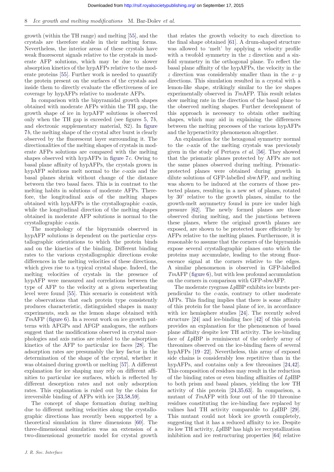growth (within the TH range) and melting [\[55](#page-11-0)], and the crystals are therefore stable in their melting forms. Nevertheless, the interior areas of these crystals have weak fluorescent signals relative to the crystals in moderate AFP solutions, which may be due to slower absorption kinetics of the hypAFPs relative to the moderate proteins [[55\]](#page-11-0). Further work is needed to quantify the protein present on the surfaces of the crystals and inside them to directly evaluate the effectiveness of ice coverage by hypAFPs relative to moderate AFPs.

In comparison with the bipyramidal growth shapes obtained with moderate AFPs within the TH gap, the growth shape of ice in hypAFP solutions is observed only when the TH gap is exceeded (see figures  $5, 7b$  $5, 7b$  $5, 7b$  $5, 7b$ , and electronic supplementary material, S2). In [figure](#page-7-0) [7](#page-7-0)b, the melting shape of the crystal after burst is clearly observed by the fluorescent layer surrounding it. The directionalities of the melting shapes of crystals in moderate AFPs solutions are compared with the melting shapes observed with hypAFPs in [figure 7](#page-7-0)c. Owing to basal plane affinity of hypAFPs, the crystals grown in hypAFP solutions melt normal to the c-axis and the basal planes shrink without change of the distance between the two basal faces. This is in contrast to the melting habits in solutions of moderate AFPs. Therefore, the longitudinal axis of the melting shapes obtained with hyp $AFPs$  is the crystallographic  $c$ -axis, while the longitudinal direction of the melting shapes obtained in moderate AFP solutions is normal to the crystallographic c-axis.

The morphology of the bipyramids observed in hypAFP solutions is dependent on the particular crystallographic orientations to which the protein binds and on the kinetics of the binding. Different binding rates to the various crystallographic directions evoke differences in the melting velocities of these directions, which gives rise to a typical crystal shape. Indeed, the melting velocities of crystals in the presence of hypAFP were measured and correlations between the type of AFP to the velocity at a given superheating level were found [\[55](#page-11-0)]. This scenario is consistent with the observations that each protein type consistently produces characteristic, distinguished shapes in many experiments, such as the lemon shape obtained with TmAFP ([figure 6\)](#page-6-0). In a recent work on ice growth patterns with AFGPs and AFGP analogues, the authors suggest that the modifications observed in crystal morphologies and axis ratios are related to the adsorption kinetics of the AFP to particular ice faces [\[28](#page-10-0)]. The adsorption rates are presumably the key factor in the determination of the shape of the crystal, whether it was obtained during growth or melting [\[57](#page-11-0)]. A different explanation for ice shaping may rely on different affinities to particular ice surfaces, which is reflected by different desorption rates and not only adsorption rates. This explanation is ruled out by the claim for irreversible binding of AFPs with ice [\[33](#page-10-0)[,58](#page-11-0),[59\]](#page-11-0).

The concept of shape formation during melting due to different melting velocities along the crystallographic directions has recently been supported by a theoretical simulation in three dimensions [[60\]](#page-11-0). The three-dimensional simulation was an extension of a two-dimensional geometric model for crystal growth

J. R. Soc. Interface

that relates the growth velocity to each direction to the final shape obtained [\[61\]](#page-11-0). A drum-shaped structure was allowed to 'melt' by applying a velocity profile with a twofold symmetry in the z direction and a sixfold symmetry in the orthogonal plane. To reflect the basal plane affinity of the hypAFPs, the velocity in the z direction was considerably smaller than in the  $x-y$ directions. This simulation resulted in a crystal with a lemon-like shape, strikingly similar to the ice shapes experimentally observed in TmAFP. This result relates slow melting rate in the direction of the basal plane to the observed melting shapes. Further development of this approach is necessary to obtain other melting shapes, which may aid in explaining the differences between the melting processes of the various hypAFPs and the hyperactivity phenomenon altogether.

An explanation for the hexagonal symmetry normal to the c-axis of the melting crystals was previously given in the study of Pertaya et al. [[56\]](#page-11-0). They showed that the prismatic planes protected by AFPs are not the same planes observed during melting. Prismaticprotected planes were obtained during growth in dilute solutions of GFP-labelled sbwAFP, and melting was shown to be induced at the corners of those protected planes, resulting in a new set of planes, rotated by  $30^{\circ}$  relative to the growth planes, similar to the growth-melt asymmetry found in pure ice under high pressure [\[62](#page-11-0)]. The newly formed planes are those observed during melting, and the junctions between these planes, where the original growth planes are exposed, are shown to be protected more efficiently by AFPs relative to the melting planes. Furthermore, it is reasonable to assume that the corners of the bipyramids expose several crystallographic planes onto which the proteins may accumulate, leading to the strong fluorescence signal at the corners relative to the edges. A similar phenomenon is observed in GFP-labelled TmAFP ([figure 6\)](#page-6-0), but with less profound accumulation on the corners in comparison with GFP-sbwAFP.

The moderate ryegrass LpIBP exhibits ice bursts perpendicular to the c-axis, contrary to other moderate AFPs. This finding implies that there is some affinity of this protein for the basal plane of ice, in accordance with ice hemisphere studies [[24\]](#page-10-0). The recently solved structure [\[24](#page-10-0)] and ice-binding face [\[42](#page-10-0)] of this protein provides an explanation for the phenomenon of basal plane affinity despite low TH activity. The ice-binding face of LpIBP is reminiscent of the orderly array of threonines observed on the ice-binding faces of several hypAFPs [\[19](#page-10-0)–[22](#page-10-0)]. Nevertheless, this array of exposed side chains is considerably less repetitive than in the hypAFPs, and contains only a few threonines [[24,42](#page-10-0)]. This composition of residues may result in the reduction of the binding rates or even binding affinities of LpIBP to both prism and basal planes, yielding the low TH activity of this protein [[24,35](#page-10-0)[,63](#page-11-0)]. In comparison, a mutant of TmAFP with four out of the 10 threonine residues constituting the ice-binding face replaced by valines had TH activity comparable to LpIBP [\[29](#page-10-0)]. This mutant could not block ice growth completely, suggesting that it has a reduced affinity to ice. Despite its low TH activity, LpIBP has high ice recrystallization inhibition and ice restructuring properties [[64\]](#page-11-0) relative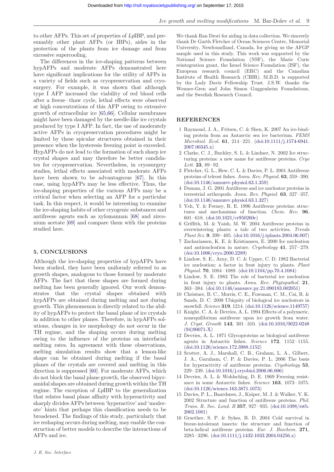<span id="page-9-0"></span>to other AFPs. This set of properties of LpIBP, and presumably other plant AFPs (or IBPs), aides in the protection of the plants from ice damage and from excessive supercooling.

The differences in the ice-shaping patterns between hypAFPs and moderate AFPs demonstrated here have significant implications for the utility of AFPs in a variety of fields such as cryopreservation and cryosurgery. For example, it was shown that although type I AFP increased the viability of red blood cells after a freeze – thaw cycle, lethal effects were observed at high concentrations of this AFP owing to extensive growth of extracellular ice [[65,66](#page-11-0)]. Cellular membranes might have been damaged by the needle-like ice crystals produced by type I AFP. In fact, the use of moderately active AFPs in cryopreservation procedures might be limited by these spicular structures obtained in their presence when the hysteresis freezing point is exceeded. HypAFPs do not lead to the formation of such sharp ice crystal shapes and may therefore be better candidates for cryopreservation. Nevertheless, in cryosurgery studies, lethal effects associated with moderate AFPs have been shown to be advantageous [[67\]](#page-11-0). In this case, using hypAFPs may be less effective. Thus, the ice-shaping properties of the various AFPs may be a critical factor when selecting an AFP for a particular task. In this respect, it would be interesting to examine the ice-shaping habits of other cryogenic substances and antifreeze agents such as xylomannan [\[68](#page-11-0)] and zirconium acetate [\[69\]](#page-11-0) and compare them with the proteins studied here.

#### 5. CONCLUSIONS

Although the ice-shaping properties of hypAFPs have been studied, they have been uniformly referred to as growth shapes, analogous to those formed by moderate AFPs. The fact that these shapes are formed during melting has been generally ignored. Our work demonstrates that the crystal shapes obtained with hypAFPs are obtained during melting and not during growth. This phenomenon is directly related to the ability of hypAFPs to protect the basal plane of ice crystals in addition to other planes. Therefore, in hypAFPs solutions, changes in ice morphology do not occur in the TH regime, and the shaping occurs during melting owing to the influence of the proteins on interfacial melting rates. In agreement with these observations, melting simulation results show that a lemon-like shape can be obtained during melting if the basal planes of the crystals are covered and melting in this direction is suppressed [[60\]](#page-11-0). For moderate AFPs, which do not block the basal plane growth, the observed bipyramidal shapes are obtained during growth within the TH regime. The exception of LpIBP to the generalization that relates basal plane affinity with hyperactivity and sharply divides AFPs between 'hyperactive' and 'moderate' hints that perhaps this classification needs to be broadened. The findings of this study, particularly that ice reshaping occurs during melting, may enable the construction of better models to describe the interactions of AFPs and ice.

We thank Ran Drori for aiding in data collection. We sincerely thank Dr Garth Fletcher of Ocean Sciences Centre, Memorial University, Newfoundland, Canada, for giving us the AFGP sample used in this study. This work was supported by the National Science Foundation (NSF), the Marie Curie reintegration grant, the Israel Science Foundation (ISF), the European research council (ERC) and the Canadian Institute of Health Research (CIHR). M.B.D. is supported by the Lady Davis Fellowship Trust. J.S.W. thanks the Wenner-Gren and John Simon Guggenheim Foundations, and the Swedish Research Council.

#### **REFERENCES**

- 1 Raymond, J. A., Fritsen, C. & Shen, K. 2007 An ice-binding protein from an Antarctic sea ice bacterium. FEMS Microbiol. Ecol. **61**, 214-221. (doi:10.1111/[j.1574-6941.](http://dx.doi.org/10.1111/j.1574-6941.2007.00345.x) [2007.00345.x](http://dx.doi.org/10.1111/j.1574-6941.2007.00345.x))
- 2 Clarke, C. J., Buckley, S. L. & Lindner, N. 2002 Ice structuring proteins: a new name for antifreeze proteins. Cryo Lett. 23, 89–92.
- 3 Fletcher, G. L., Hew, C. L. & Davies, P. L. 2001 Antifreeze proteins of teleost fishes. Annu. Rev. Physiol. 63, 359– 390. (doi:10.1146/[annurev.physiol.63.1.359\)](http://dx.doi.org/10.1146/annurev.physiol.63.1.359)
- 4 Duman, J. G. 2001 Antifreeze and ice nucleator proteins in terrestrial arthropods. Annu. Rev. Physiol. 63, 327 –357. (doi:10.1146/[annurev.physiol.63.1.327\)](http://dx.doi.org/10.1146/annurev.physiol.63.1.327)
- 5 Yeh, Y. & Feeney, R. E. 1996 Antifreeze proteins: structures and mechanisms of function. Chem. Rev. 96, 601 –618. [\(doi:10.1021](http://dx.doi.org/10.1021/cr950260c)/cr950260c)
- 6 Griffith, M. & Yaish, M. W. 2004 Antifreeze proteins in overwintering plants: a tale of two activities. Trends Plant Sci. 9, 399-405. (doi:10.1016/[j.tplants.2004.06.007](http://dx.doi.org/10.1016/j.tplants.2004.06.007))
- 7 Zachariassen, K. E. & Kristiansen, E. 2000 Ice nucleation and antinucleation in nature. Cryobiology 41, 257 –279. (doi:10.1006/[cryo.2000.2289\)](http://dx.doi.org/10.1006/cryo.2000.2289)
- 8 Lindow, S. E., Arny, D. C. & Upper, C. D. 1982 Bacterial ice nucleation: a factor in frost injury to plants. Plant Physiol. 70, 1084– 1089. (doi:10.1104/[pp.70.4.1084](http://dx.doi.org/10.1104/pp.70.4.1084))
- 9 Lindow, S. E. 1983 The role of bacterial ice nucleation in frost injury to plants. Annu. Rev. Phytopathol. 21, 363 –384. (doi:10.1146/[annurev.py.21.090183.002051\)](http://dx.doi.org/10.1146/annurev.py.21.090183.002051)
- 10 Christner, B. C., Morris, C. E., Foreman, C. M., Cai, R. & Sands, D. C. 2008 Ubiquity of biological ice nucleators in snowfall. Science 319, 1214. (doi:10.1126/[science.1149757](http://dx.doi.org/10.1126/science.1149757))
- 11 Knight, C. A. & Devries, A. L. 1994 Effects of a polymeric, nonequilibrium antifreeze upon ice growth from water. J. Cryst. Growth 143, 301 –310. [\(doi:10.1016](http://dx.doi.org/10.1016/0022-0248(94)90071-X)/0022-0248  $(94)90071-X$
- 12 Devries, A. L. 1971 Glycoproteins as biological antifreeze agents in Antarctic fishes. Science 172, 1152–1155. (doi:10.1126/[science.172.3988.1152](http://dx.doi.org/10.1126/science.172.3988.1152))
- 13 Scotter, A. J., Marshall, C. B., Graham, L. A., Gilbert, J. A., Garnham, C. P. & Davies, P. L. 2006 The basis for hyperactivity of antifreeze proteins. Cryobiology 53, 229 –239. (doi:10.1016/[j.cryobiol.2006.06.006](http://dx.doi.org/10.1016/j.cryobiol.2006.06.006))
- 14 Devries, A. L. & Wohlschlag, D. E. 1969 Freezing resistance in some Antarctic fishes. Science 163, 1073–1075. (doi:10.1126/[science.163.3871.1073](http://dx.doi.org/10.1126/science.163.3871.1073))
- 15 Davies, P. L., Baardsnes, J., Kuiper, M. J. & Walker, V. K. 2002 Structure and function of antifreeze proteins. Phil. Trans. R. Soc. Lond. B 357, 927 –935. ([doi:10.1098](http://dx.doi.org/10.1098/rstb.2002.1081)/rstb. [2002.1081](http://dx.doi.org/10.1098/rstb.2002.1081))
- 16 Graether, S. P. & Sykes, B. D. 2004 Cold survival in freeze-intolerant insects: the structure and function of beta-helical antifreeze proteins. Eur. J. Biochem. 271, 3285–3296. (doi:10.1111/[j.1432-1033.2004.04256.x\)](http://dx.doi.org/10.1111/j.1432-1033.2004.04256.x)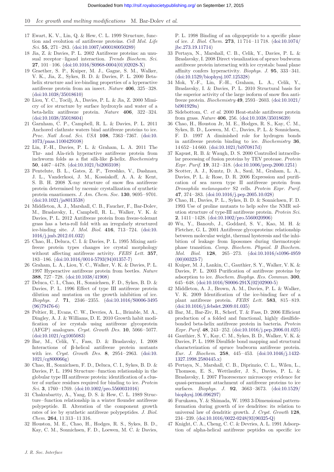- <span id="page-10-0"></span>10 Ice growth and melting modifications M. Bar-Dolev et al.
- 17 Ewart, K. V., Lin, Q. & Hew, C. L. 1999 Structure, function and evolution of antifreeze proteins. Cell Mol. Life  $Sci. 55, 271-283.$  (doi:10.1007/[s000180050289](http://dx.doi.org/10.1007/s000180050289))
- 18 Jia, Z. & Davies, P. L. 2002 Antifreeze proteins: an unusual receptor–ligand interaction. Trends Biochem. Sci. **27.** 101 – 106. (doi:10.1016/[S0968-0004\(01\)02028-X](http://dx.doi.org/10.1016/S0968-0004(01)02028-X))
- 19 Graether, S. P., Kuiper, M. J., Gagne, S. M., Walker, V. K., Jia, Z., Sykes, B. D. & Davies, P. L. 2000 Betahelix structure and ice-binding properties of a hyperactive antifreeze protein from an insect. Nature 406, 325 –328. ([doi:10.1038](http://dx.doi.org/10.1038/35018610)/35018610)
- 20 Liou, Y. C., Tocilj, A., Davies, P. L. & Jia, Z. 2000 Mimicry of ice structure by surface hydroxyls and water of a beta-helix antifreeze protein. Nature 406, 322-324. ([doi:10.1038](http://dx.doi.org/10.1038/35018604)/35018604)
- 21 Garnham, C. P., Campbell, R. L. & Davies, P. L. 2011 Anchored clathrate waters bind antifreeze proteins to ice. Proc. Natl Acad. Sci. USA 108, 7363–7367. [\(doi:10.](http://dx.doi.org/10.1073/pnas.1100429108) 1073/[pnas.1100429108](http://dx.doi.org/10.1073/pnas.1100429108))
- 22 Lin, F.-H., Davies, P. L. & Graham, L. A. 2011 The Thr- and Ala-rich hyperactive antifreeze protein from inchworm folds as a flat silk-like  $\beta$ -helix. *Biochemistry* 50, 4467–4478. [\(doi:10.1021](http://dx.doi.org/10.1021/bi2003108)/bi2003108)
- 23 Pentelute, B. L., Gates, Z. P., Tereshko, V., Dashnau, J. L., Vanderkooi, J. M., Kossiakoff, A. A. & Kent, S. B. H. 2008 X-ray structure of snow flea antifreeze protein determined by racemic crystallization of synthetic protein enantiomers. J. Am. Chem. Soc. 130, 9695–9701. ([doi:10.1021](http://dx.doi.org/10.1021/ja8013538)/ja8013538)
- 24 Middleton, A. J., Marshall, C. B., Faucher, F., Bar-Dolev, M., Braslavsky, I., Campbell, R. L., Walker, V. K. & Davies, P. L. 2012 Antifreeze protein from freeze-tolerant grass has a beta-roll fold with an irregularly structured ice-binding site. J. Mol. Biol. 416, 713-724. [\(doi:10.](http://dx.doi.org/10.1016/j.jmb.2012.01.032) 1016/[j.jmb.2012.01.032\)](http://dx.doi.org/10.1016/j.jmb.2012.01.032)
- 25 Chao, H., Deluca, C. I. & Davies, P. L. 1995 Mixing antifreeze protein types changes ice crystal morphology without affecting antifreeze activity. FEBS Lett. 357, 183– 186. (doi:10.1016/[0014-5793\(94\)01357-7](http://dx.doi.org/10.1016/0014-5793(94)01357-7))
- 26 Graham, L. A., Liou, Y. C., Walker, V. K. & Davies, P. L. 1997 Hyperactive antifreeze protein from beetles. Nature 388, 727 –728. [\(doi:10.1038](http://dx.doi.org/10.1038/41908)/41908)
- 27 Deluca, C. I., Chao, H., Sonnichsen, F. D., Sykes, B. D. & Davies, P. L. 1996 Effect of type III antifreeze protein dilution and mutation on the growth inhibition of ice. Biophys. J. 71, 2346–2355. (doi:10.1016/[S0006-3495](http://dx.doi.org/10.1016/S0006-3495(96)79476-6) [\(96\)79476-6](http://dx.doi.org/10.1016/S0006-3495(96)79476-6))
- 28 Peltier, R., Evans, C. W., Devries, A. L., Brimble, M. A., Dingley, A. J. & Williams, D. E. 2010 Growth habit modification of ice crystals using antifreeze glycoprotein (AFGP) analogues. Cryst. Growth Des. 10, 5066–5077. ([doi:10.1021](http://dx.doi.org/10.1021/cg1005083)/cg1005083)
- 29 Bar, M., Celik, Y., Fass, D. & Braslavsky, I. 2008 Interactions of b-helical antifreeze protein mutants with ice. Cryst. Growth Des.  $8, 2954-2963.$  ([doi:10.](http://dx.doi.org/10.1021/cg800066g) 1021/[cg800066g\)](http://dx.doi.org/10.1021/cg800066g)
- 30 Chao, H., Sonnichsen, F. D., Deluca, C. I., Sykes, B. D. & Davies, P. L. 1994 Structure– function relationship in the globular type III antifreeze protein: identification of a cluster of surface residues required for binding to ice. Protein Sci. 3, 1760-1769. (doi:10.1002/[pro.5560031016\)](http://dx.doi.org/10.1002/pro.5560031016)
- 31 Chakrabartty, A., Yang, D. S. & Hew, C. L. 1989 Structure– function relationship in a winter flounder antifreeze polypeptide. II. Alteration of the component growth rates of ice by synthetic antifreeze polypeptides. J. Biol. Chem. 264, 11 313– 11 316.
- 32 Houston, M. E., Chao, H., Hodges, R. S., Sykes, B. D., Kay, C. M., Sonnichsen, F. D., Loewen, M. C. & Davies,

P. L. 1998 Binding of an oligopeptide to a specific plane of ice. J. Biol. Chem. 273, 11 714 –11 718. ([doi:10.1074](http://dx.doi.org/10.1074/jbc.273.19.11714)/ [jbc.273.19.11714](http://dx.doi.org/10.1074/jbc.273.19.11714))

- 33 Pertaya, N., Marshall, C. B., Celik, Y., Davies, P. L. & Braslavsky, I. 2008 Direct visualization of spruce budworm antifreeze protein interacting with ice crystals: basal plane affinity confers hyperactivity. Biophys. J. 95, 333 –341. (doi:10.1529/[biophysj.107.125328\)](http://dx.doi.org/10.1529/biophysj.107.125328)
- 34 Mok, Y.-F., Lin, F.-H., Graham, L. A., Celik, Y., Braslavsky, I. & Davies, P. L. 2010 Structural basis for the superior activity of the large isoform of snow flea antifreeze protein. Biochemistry 49, 2593–2603. ([doi:10.1021](http://dx.doi.org/10.1021/bi901929n)/ [bi901929n\)](http://dx.doi.org/10.1021/bi901929n)
- 35 Sidebottom, C. et al. 2000 Heat-stable antifreeze protein from grass. Nature 406, 256. [\(doi:10.1038](http://dx.doi.org/10.1038/35018639)/35018639)
- 36 Chao, H., Houston Jr, M. E., Hodges, R. S., Kay, C. M., Sykes, B. D., Loewen, M. C., Davies, P. L. & Sonnichsen, F. D. 1997 A diminished role for hydrogen bonds in antifreeze protein binding to ice. Biochemistry 36, 14 652 –14 660. ([doi:10.1021](http://dx.doi.org/10.1021/bi970817d)/bi970817d)
- 37 Kapust, R. B. & Waugh, D. S. 2000 Controlled intracellular processing of fusion proteins by TEV protease. Protein Expr. Purif. 19, 312– 318. (doi:10.1006/[prep.2000.1251\)](http://dx.doi.org/10.1006/prep.2000.1251)
- 38 Scotter, A. J., Kuntz, D. A., Saul, M., Graham, L. A., Davies, P. L. & Rose, D. R. 2006 Expression and purification of sea raven type II antifreeze protein from Drosophila melanogaster S2 cells. Protein Expr. Purif. 47, 374 –383. (doi:10.1016/[j.pep.2005.10.028](http://dx.doi.org/10.1016/j.pep.2005.10.028))
- 39 Chao, H., Davies, P. L., Sykes, B. D. & Sonnichsen, F. D. 1993 Use of proline mutants to help solve the NMR solution structure of type-III antifreeze protein. Protein Sci. 2, 1411– 1428. (doi:10.1002/[pro.5560020906](http://dx.doi.org/10.1002/pro.5560020906))
- 40 Wu, Y., Banoub, J., Goddard, S. V., Kao, M. H. & Fletcher, G. L. 2001 Antifreeze glycoproteins: relationship between molecular weight, thermal hysteresis and the inhibition of leakage from liposomes during thermotropic phase transition. Comp. Biochem. Physiol. B Biochem. Mol. Biol. 128, 265-273. [\(doi:10.1016](http://dx.doi.org/10.1016/s1096-4959(00)00323-7)/s1096-4959  $(00)00323 - 7)$
- 41 Kuiper, M. J., Lankin, C., Gauthier, S. Y., Walker, V. K. & Davies, P. L. 2003 Purification of antifreeze proteins by adsorption to ice. Biochem. Biophys. Res. Commun. 300, 645–648. (doi:10.1016/[S0006-291X\(02\)02900-5](http://dx.doi.org/10.1016/S0006-291X(02)02900-5))
- 42 Middleton, A. J., Brown, A. M., Davies, P. L. & Walker, V. K. 2009 Identification of the ice-binding face of a plant antifreeze protein. FEBS Lett. 583, 815-819. (doi:10.1016/[j.febslet.2009.01.035\)](http://dx.doi.org/10.1016/j.febslet.2009.01.035)
- 43 Bar, M., Bar-Ziv, R., Scherf, T. & Fass, D. 2006 Efficient production of a folded and functional, highly disulfidebonded beta-helix antifreeze protein in bacteria. Protein Expr. Purif. 48, 243–252. (doi:10.1016/[j.pep.2006.01.025](http://dx.doi.org/10.1016/j.pep.2006.01.025))
- 44 Gauthier, S. Y., Kay, C. M., Sykes, B. D., Walker, V. K. & Davies, P. L. 1998 Disulfide bond mapping and structural characterization of spruce budworm antifreeze protein. Eur. J. Biochem. 258, 445 –453. [\(doi:10.1046](http://dx.doi.org/10.1046/j.1432-1327.1998.2580445.x)/j.1432- [1327.1998.2580445.x\)](http://dx.doi.org/10.1046/j.1432-1327.1998.2580445.x)
- 45 Pertaya, N., Marshall, C. B., Diprinzio, C. L., Wilen, L., Thomson, E. S., Wettlaufer, J. S., Davies, P. L. & Braslavsky, I. 2007 Fluorescence microscopy evidence for quasi-permanent attachment of antifreeze proteins to ice surfaces. Biophys. J. 92, 3663–3673. ([doi:10.1529](http://dx.doi.org/10.1529/biophysj.106.096297)/ [biophysj.106.096297](http://dx.doi.org/10.1529/biophysj.106.096297))
- 46 Furukawa, Y. & Shimada, W. 1993 3-Dimensional patternformation during growth of ice dendrites: its relation to universal law of dendritic growth. J. Cryst. Growth 128, 234–239. (doi:10.1016/[0022-0248\(93\)90325-Q](http://dx.doi.org/10.1016/0022-0248(93)90325-Q))
- 47 Knight, C. A., Cheng, C. C. & Devries, A. L. 1991 Adsorption of alpha-helical antifreeze peptides on specific ice